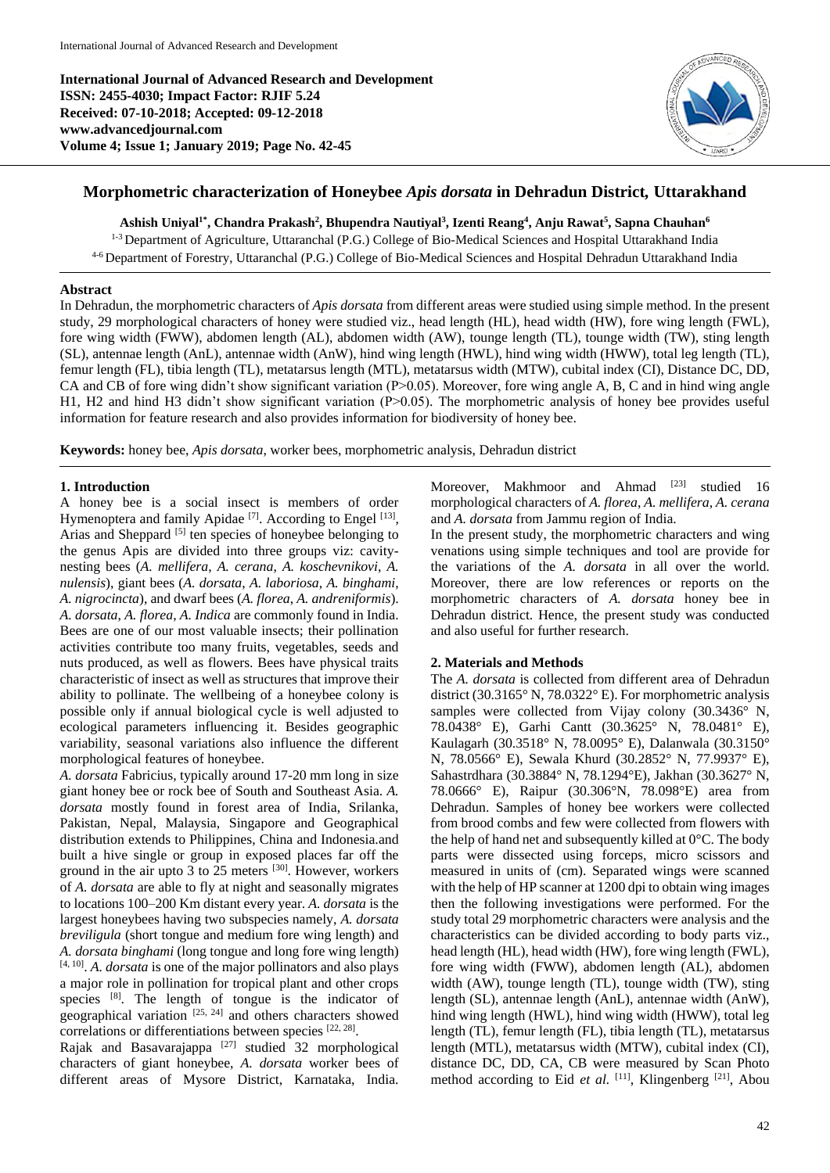**International Journal of Advanced Research and Development ISSN: 2455-4030; Impact Factor: RJIF 5.24 Received: 07-10-2018; Accepted: 09-12-2018 www.advancedjournal.com Volume 4; Issue 1; January 2019; Page No. 42-45**



# **Morphometric characterization of Honeybee** *Apis dorsata* **in Dehradun District***,* **Uttarakhand**

**Ashish Uniyal1\* , Chandra Prakash<sup>2</sup> , Bhupendra Nautiyal<sup>3</sup> , Izenti Reang<sup>4</sup> , Anju Rawat<sup>5</sup> , Sapna Chauhan<sup>6</sup>**

<sup>1-3</sup> Department of Agriculture, Uttaranchal (P.G.) College of Bio-Medical Sciences and Hospital Uttarakhand India 4-6 Department of Forestry, Uttaranchal (P.G.) College of Bio-Medical Sciences and Hospital Dehradun Uttarakhand India

## **Abstract**

In Dehradun, the morphometric characters of *Apis dorsata* from different areas were studied using simple method. In the present study, 29 morphological characters of honey were studied viz., head length (HL), head width (HW), fore wing length (FWL), fore wing width (FWW), abdomen length (AL), abdomen width (AW), tounge length (TL), tounge width (TW), sting length (SL), antennae length (AnL), antennae width (AnW), hind wing length (HWL), hind wing width (HWW), total leg length (TL), femur length (FL), tibia length (TL), metatarsus length (MTL), metatarsus width (MTW), cubital index (CI), Distance DC, DD, CA and CB of fore wing didn't show significant variation (P>0.05). Moreover, fore wing angle A, B, C and in hind wing angle H1, H2 and hind H3 didn't show significant variation (P>0.05). The morphometric analysis of honey bee provides useful information for feature research and also provides information for biodiversity of honey bee.

**Keywords:** honey bee, *Apis dorsata*, worker bees, morphometric analysis, Dehradun district

### **1. Introduction**

A honey bee is a social insect is members of order Hymenoptera and family Apidae<sup>[7]</sup>. According to Engel<sup>[13]</sup>, Arias and Sheppard <sup>[5]</sup> ten species of honeybee belonging to the genus Apis are divided into three groups viz: cavitynesting bees (*A. mellifera*, *A. cerana*, *A. koschevnikovi*, *A. nulensis*), giant bees (*A. dorsata*, *A. laboriosa*, *A. binghami*, *A. nigrocincta*), and dwarf bees (*A. florea*, *A. andreniformis*). *A. dorsata*, *A. florea*, *A. Indica* are commonly found in India. Bees are one of our most valuable insects; their pollination activities contribute too many fruits, vegetables, seeds and nuts produced, as well as flowers. Bees have physical traits characteristic of insect as well as structures that improve their ability to pollinate. The wellbeing of a honeybee colony is possible only if annual biological cycle is well adjusted to ecological parameters influencing it. Besides geographic variability, seasonal variations also influence the different morphological features of honeybee.

*A. dorsata* Fabricius, typically around 17-20 mm long in size giant honey bee or rock bee of South and Southeast Asia. *A. dorsata* mostly found in forest area of India, Srilanka, Pakistan, Nepal, Malaysia, Singapore and Geographical distribution extends to Philippines, China and Indonesia.and built a hive single or group in exposed places far off the ground in the air upto 3 to 25 meters [30]. However, workers of *A. dorsata* are able to fly at night and seasonally migrates to locations 100–200 Km distant every year. *A. dorsata* is the largest honeybees having two subspecies namely, *A. dorsata breviligula* (short tongue and medium fore wing length) and *A. dorsata binghami* (long tongue and long fore wing length) [4, 10] . *A. dorsata* is one of the major pollinators and also plays a major role in pollination for tropical plant and other crops species  $[8]$ . The length of tongue is the indicator of geographical variation  $[25, 24]$  and others characters showed correlations or differentiations between species [22, 28].

Rajak and Basavarajappa  $[27]$  studied 32 morphological characters of giant honeybee, *A. dorsata* worker bees of different areas of Mysore District, Karnataka, India.

Moreover, Makhmoor and Ahmad [23] studied 16 morphological characters of *A. florea*, *A. mellifera*, *A. cerana* and *A. dorsata* from Jammu region of India.

In the present study, the morphometric characters and wing venations using simple techniques and tool are provide for the variations of the *A. dorsata* in all over the world. Moreover, there are low references or reports on the morphometric characters of *A. dorsata* honey bee in Dehradun district. Hence, the present study was conducted and also useful for further research.

# **2. Materials and Methods**

The *A. dorsata* is collected from different area of Dehradun district (30.3165° N, 78.0322° E). For morphometric analysis samples were collected from Vijay colony (30.3436° N, 78.0438° E), Garhi Cantt (30.3625° N, 78.0481° E), Kaulagarh (30.3518° N, 78.0095° E), Dalanwala (30.3150° N, 78.0566° E), Sewala Khurd (30.2852° N, 77.9937° E), Sahastrdhara (30.3884° N, 78.1294°E), Jakhan (30.3627° N, 78.0666° E), Raipur (30.306°N, 78.098°E) area from Dehradun. Samples of honey bee workers were collected from brood combs and few were collected from flowers with the help of hand net and subsequently killed at 0°C. The body parts were dissected using forceps, micro scissors and measured in units of (cm). Separated wings were scanned with the help of HP scanner at 1200 dpi to obtain wing images then the following investigations were performed. For the study total 29 morphometric characters were analysis and the characteristics can be divided according to body parts viz., head length (HL), head width (HW), fore wing length (FWL), fore wing width (FWW), abdomen length (AL), abdomen width (AW), tounge length (TL), tounge width (TW), sting length (SL), antennae length (AnL), antennae width (AnW), hind wing length (HWL), hind wing width (HWW), total leg length (TL), femur length (FL), tibia length (TL), metatarsus length (MTL), metatarsus width (MTW), cubital index (CI), distance DC, DD, CA, CB were measured by Scan Photo method according to Eid et al. <sup>[11]</sup>, Klingenberg<sup>[21]</sup>, Abou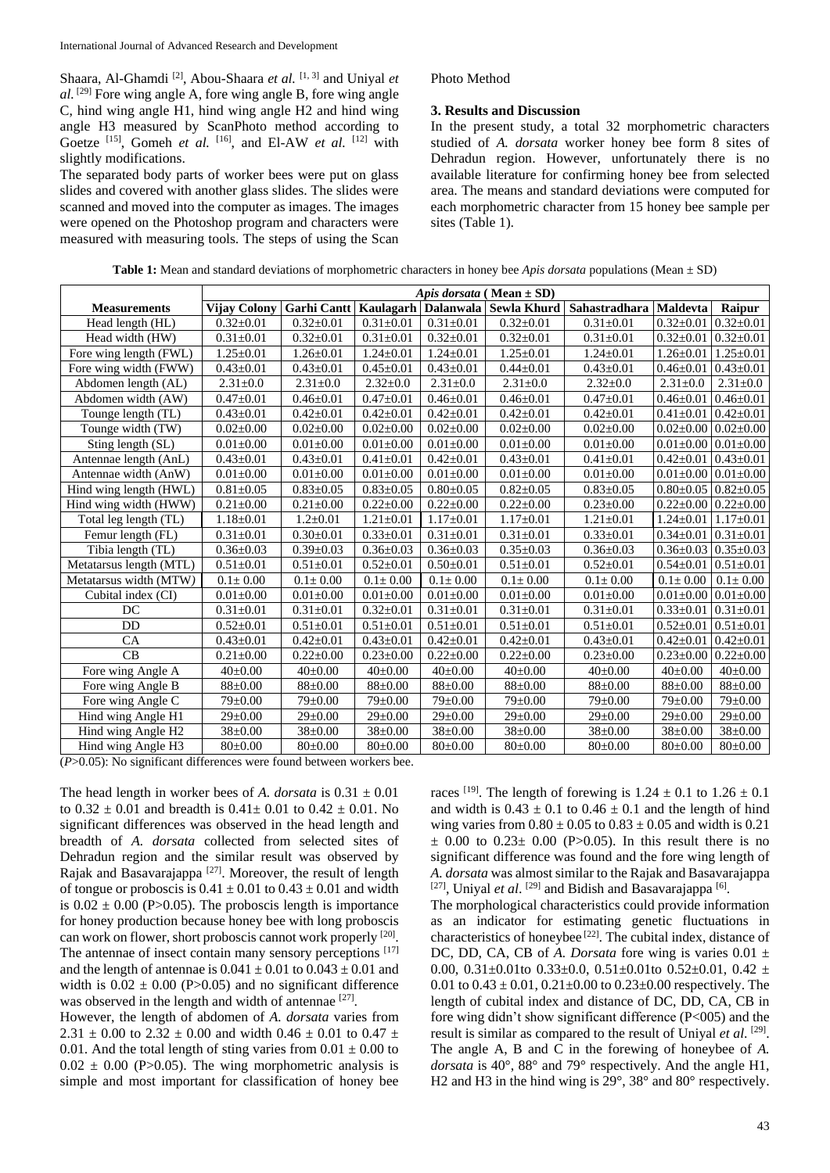Shaara, Al-Ghamdi<sup>[2]</sup>, Abou-Shaara *et al.*<sup>[1,3]</sup> and Uniyal *et al.* [29] Fore wing angle A, fore wing angle B, fore wing angle C, hind wing angle H1, hind wing angle H2 and hind wing angle H3 measured by ScanPhoto method according to Goetze <sup>[15]</sup>, Gomeh *et al.* <sup>[16]</sup>, and El-AW *et al.* <sup>[12]</sup> with slightly modifications.

The separated body parts of worker bees were put on glass slides and covered with another glass slides. The slides were scanned and moved into the computer as images. The images were opened on the Photoshop program and characters were measured with measuring tools. The steps of using the Scan Photo Method

#### **3. Results and Discussion**

In the present study, a total 32 morphometric characters studied of *A. dorsata* worker honey bee form 8 sites of Dehradun region. However, unfortunately there is no available literature for confirming honey bee from selected area. The means and standard deviations were computed for each morphometric character from 15 honey bee sample per sites (Table 1).

**Table 1:** Mean and standard deviations of morphometric characters in honey bee *Apis dorsata* populations (Mean ± SD)

|                                            | Apis dorsata (Mean $\pm$ SD) |                    |                  |                 |                       |                 |                 |                                   |
|--------------------------------------------|------------------------------|--------------------|------------------|-----------------|-----------------------|-----------------|-----------------|-----------------------------------|
| <b>Measurements</b>                        | Vijay Colony                 | <b>Garhi</b> Cantt | <b>Kaulagarh</b> |                 | Dalanwala Sewla Khurd | Sahastradhara   | <b>Maldevta</b> | Raipur                            |
| Head length (HL)                           | $0.32 \pm 0.01$              | $0.32 \pm 0.01$    | $0.31 \pm 0.01$  | $0.31 \pm 0.01$ | $0.32 \pm 0.01$       | $0.31 \pm 0.01$ | $0.32 \pm 0.01$ | $0.32 \pm 0.01$                   |
| Head width (HW)                            | $0.31 \pm 0.01$              | $0.32 \pm 0.01$    | $0.31 \pm 0.01$  | $0.32 \pm 0.01$ | $0.32 \pm 0.01$       | $0.31 \pm 0.01$ | $0.32 \pm 0.01$ | $0.32 \pm 0.01$                   |
| Fore wing length (FWL)                     | $1.25 \pm 0.01$              | $1.26 \pm 0.01$    | $1.24 \pm 0.01$  | $1.24 \pm 0.01$ | $1.25 \pm 0.01$       | $1.24 \pm 0.01$ | $1.26 \pm 0.01$ | $1.25 \pm 0.01$                   |
| Fore wing width (FWW)                      | $0.43 \pm 0.01$              | $0.43 \pm 0.01$    | $0.45 \pm 0.01$  | $0.43 \pm 0.01$ | $0.44 \pm 0.01$       | $0.43 \pm 0.01$ | $0.46 \pm 0.01$ | $0.43 \pm 0.01$                   |
| Abdomen length (AL)                        | $2.31 \pm 0.0$               | $2.31 \pm 0.0$     | $2.32 \pm 0.0$   | $2.31 \pm 0.0$  | $2.31 \pm 0.0$        | $2.32 \pm 0.0$  | $2.31 \pm 0.0$  | $2.31 \pm 0.0$                    |
| Abdomen width (AW)                         | $0.47 \pm 0.01$              | $0.46 \pm 0.01$    | $0.47 \pm 0.01$  | $0.46 \pm 0.01$ | $0.46 \pm 0.01$       | $0.47 \pm 0.01$ | $0.46 \pm 0.01$ | $0.46 \pm 0.01$                   |
| Tounge length (TL)                         | $0.43 \pm 0.01$              | $0.42 \pm 0.01$    | $0.42 \pm 0.01$  | $0.42 \pm 0.01$ | $0.42 \pm 0.01$       | $0.42 \pm 0.01$ | $0.41 \pm 0.01$ | $0.42 \pm 0.01$                   |
| Tounge width (TW)                          | $0.02 \pm 0.00$              | $0.02 \pm 0.00$    | $0.02 \pm 0.00$  | $0.02 \pm 0.00$ | $0.02 \pm 0.00$       | $0.02 \pm 0.00$ | $0.02 \pm 0.00$ | $0.02 \pm 0.00$                   |
| Sting length (SL)                          | $0.01 \pm 0.00$              | $0.01 \pm 0.00$    | $0.01 \pm 0.00$  | $0.01 \pm 0.00$ | $0.01 \pm 0.00$       | $0.01 \pm 0.00$ | $0.01 \pm 0.00$ | $0.01 \pm 0.00$                   |
| Antennae length (AnL)                      | $0.43 \pm 0.01$              | $0.43 \pm 0.01$    | $0.41 \pm 0.01$  | $0.42 \pm 0.01$ | $0.43 \pm 0.01$       | $0.41 \pm 0.01$ | $0.42 \pm 0.01$ | $0.43 \pm 0.01$                   |
| Antennae width (AnW)                       | $0.01 \pm 0.00$              | $0.01 \pm 0.00$    | $0.01 \pm 0.00$  | $0.01 \pm 0.00$ | $0.01 \pm 0.00$       | $0.01 \pm 0.00$ | $0.01 \pm 0.00$ | $0.01 \pm 0.00$                   |
| Hind wing length (HWL)                     | $0.81 \pm 0.05$              | $0.83 \pm 0.05$    | $0.83 \pm 0.05$  | $0.80 \pm 0.05$ | $0.82 \pm 0.05$       | $0.83 \pm 0.05$ | $0.80 \pm 0.05$ | $0.82 \pm 0.05$                   |
| Hind wing width (HWW)                      | $0.21 \pm 0.00$              | $0.21 \pm 0.00$    | $0.22 \pm 0.00$  | $0.22 \pm 0.00$ | $0.22 \pm 0.00$       | $0.23 \pm 0.00$ |                 | $0.22 \pm 0.00$   $0.22 \pm 0.00$ |
| Total leg length (TL)                      | $1.18 \pm 0.01$              | $1.2 \pm 0.01$     | $1.21 \pm 0.01$  | $1.17 \pm 0.01$ | $1.17 \pm 0.01$       | $1.21 \pm 0.01$ | $1.24 \pm 0.01$ | $1.17 \pm 0.01$                   |
| Femur length (FL)                          | $0.31 \pm 0.01$              | $0.30 \pm 0.01$    | $0.33 \pm 0.01$  | $0.31 \pm 0.01$ | $0.31 \pm 0.01$       | $0.33 \pm 0.01$ | $0.34 \pm 0.01$ | $0.31 \pm 0.01$                   |
| Tibia length (TL)                          | $0.36 \pm 0.03$              | $0.39 \pm 0.03$    | $0.36 \pm 0.03$  | $0.36 \pm 0.03$ | $0.35 \pm 0.03$       | $0.36 \pm 0.03$ | $0.36 \pm 0.03$ | $0.35 \pm 0.03$                   |
| Metatarsus length (MTL)                    | $0.51 \pm 0.01$              | $0.51 \pm 0.01$    | $0.52 \pm 0.01$  | $0.50 \pm 0.01$ | $0.51 \pm 0.01$       | $0.52 \pm 0.01$ | $0.54 \pm 0.01$ | $0.51 \pm 0.01$                   |
| Metatarsus width (MTW)                     | $0.1 \pm 0.00$               | $0.1 \pm 0.00$     | $0.1 \pm 0.00$   | $0.1 \pm 0.00$  | $0.1 \pm 0.00$        | $0.1 \pm 0.00$  | $0.1 \pm 0.00$  | $0.1 \pm 0.00$                    |
| Cubital index (CI)                         | $0.01 \pm 0.00$              | $0.01 \pm 0.00$    | $0.01 \pm 0.00$  | $0.01 \pm 0.00$ | $0.01 \pm 0.00$       | $0.01 \pm 0.00$ | $0.01 \pm 0.00$ | $0.01 \pm 0.00$                   |
| DC                                         | $0.31 \pm 0.01$              | $0.31 \pm 0.01$    | $0.32 \pm 0.01$  | $0.31 \pm 0.01$ | $0.31 \pm 0.01$       | $0.31 \pm 0.01$ | $0.33 \pm 0.01$ | $0.31 \pm 0.01$                   |
| DD                                         | $0.52 \pm 0.01$              | $0.51 \pm 0.01$    | $0.51 \pm 0.01$  | $0.51 \pm 0.01$ | $0.51 \pm 0.01$       | $0.51 \pm 0.01$ | $0.52 \pm 0.01$ | $0.51 \pm 0.01$                   |
| <b>CA</b>                                  | $0.43 \pm 0.01$              | $0.42 \pm 0.01$    | $0.43 \pm 0.01$  | $0.42 \pm 0.01$ | $0.42 \pm 0.01$       | $0.43 \pm 0.01$ | $0.42 \pm 0.01$ | $0.42 \pm 0.01$                   |
| CB                                         | $0.21 \pm 0.00$              | $0.22 \pm 0.00$    | $0.23 \pm 0.00$  | $0.22 \pm 0.00$ | $0.22 \pm 0.00$       | $0.23 \pm 0.00$ | $0.23 \pm 0.00$ | $0.22 \pm 0.00$                   |
| Fore wing Angle A                          | $40 \pm 0.00$                | $40{\pm}0.00$      | $40{\pm}0.00$    | $40 \pm 0.00$   | $40 \pm 0.00$         | $40{\pm}0.00$   | $40 \pm 0.00$   | $40{\pm}0.00$                     |
| Fore wing Angle B                          | $88 \pm 0.00$                | $88 \pm 0.00$      | $88 \pm 0.00$    | $88 \pm 0.00$   | $88 \pm 0.00$         | $88 \pm 0.00$   | $88 \pm 0.00$   | $88 \pm 0.00$                     |
| Fore wing Angle C                          | $79 \pm 0.00$                | $79 \pm 0.00$      | $79 \pm 0.00$    | $79 \pm 0.00$   | $79 \pm 0.00$         | $79 \pm 0.00$   | 79±0.00         | $79 \pm 0.00$                     |
| Hind wing Angle H1                         | $29 \pm 0.00$                | $29 \pm 0.00$      | $29 \pm 0.00$    | $29 \pm 0.00$   | $29 \pm 0.00$         | $29 \pm 0.00$   | $29 \pm 0.00$   | $29 \pm 0.00$                     |
| Hind wing Angle H2                         | $38 \pm 0.00$                | $38 \pm 0.00$      | $38 \pm 0.00$    | $38 \pm 0.00$   | $38 \pm 0.00$         | $38 \pm 0.00$   | $38 \pm 0.00$   | $38 \pm 0.00$                     |
| Hind wing Angle H3<br>$0.07337 \cdot 0.07$ | $80+0.00$                    | $80 \pm 0.00$      | $80 \pm 0.00$    | $80 \pm 0.00$   | $80+0.00$             | $80 \pm 0.00$   | $80 \pm 0.00$   | $80 \pm 0.00$                     |

(*P*>0.05): No significant differences were found between workers bee.

The head length in worker bees of *A. dorsata* is  $0.31 \pm 0.01$ to  $0.32 \pm 0.01$  and breadth is  $0.41 \pm 0.01$  to  $0.42 \pm 0.01$ . No significant differences was observed in the head length and breadth of *A. dorsata* collected from selected sites of Dehradun region and the similar result was observed by Rajak and Basavarajappa<sup>[27]</sup>. Moreover, the result of length of tongue or proboscis is  $0.41 \pm 0.01$  to  $0.43 \pm 0.01$  and width is  $0.02 \pm 0.00$  (P>0.05). The proboscis length is importance for honey production because honey bee with long proboscis can work on flower, short proboscis cannot work properly [20]. The antennae of insect contain many sensory perceptions [17] and the length of antennae is  $0.041 \pm 0.01$  to  $0.043 \pm 0.01$  and width is  $0.02 \pm 0.00$  (P $> 0.05$ ) and no significant difference was observed in the length and width of antennae [27].

However, the length of abdomen of *A. dorsata* varies from 2.31  $\pm$  0.00 to 2.32  $\pm$  0.00 and width 0.46  $\pm$  0.01 to 0.47  $\pm$ 0.01. And the total length of sting varies from  $0.01 \pm 0.00$  to  $0.02 \pm 0.00$  (P>0.05). The wing morphometric analysis is simple and most important for classification of honey bee

races <sup>[19]</sup>. The length of forewing is  $1.24 \pm 0.1$  to  $1.26 \pm 0.1$ and width is  $0.43 \pm 0.1$  to  $0.46 \pm 0.1$  and the length of hind wing varies from  $0.80 \pm 0.05$  to  $0.83 \pm 0.05$  and width is 0.21  $\pm$  0.00 to 0.23 $\pm$  0.00 (P>0.05). In this result there is no significant difference was found and the fore wing length of *A. dorsata* was almost similar to the Rajak and Basavarajappa [27], Uniyal et al. <sup>[29]</sup> and Bidish and Basavarajappa<sup>[6]</sup>.

The morphological characteristics could provide information as an indicator for estimating genetic fluctuations in characteristics of honeybee [22]. The cubital index, distance of DC, DD, CA, CB of  $\AA$ . *Dorsata* fore wing is varies 0.01  $\pm$ 0.00, 0.31 $\pm$ 0.01to 0.33 $\pm$ 0.0, 0.51 $\pm$ 0.01to 0.52 $\pm$ 0.01, 0.42  $\pm$ 0.01 to  $0.43 \pm 0.01$ ,  $0.21 \pm 0.00$  to  $0.23 \pm 0.00$  respectively. The length of cubital index and distance of DC, DD, CA, CB in fore wing didn't show significant difference (P<005) and the result is similar as compared to the result of Uniyal et al. [29]. The angle A, B and C in the forewing of honeybee of *A. dorsata* is 40°, 88° and 79° respectively. And the angle H1, H2 and H3 in the hind wing is 29°, 38° and 80° respectively.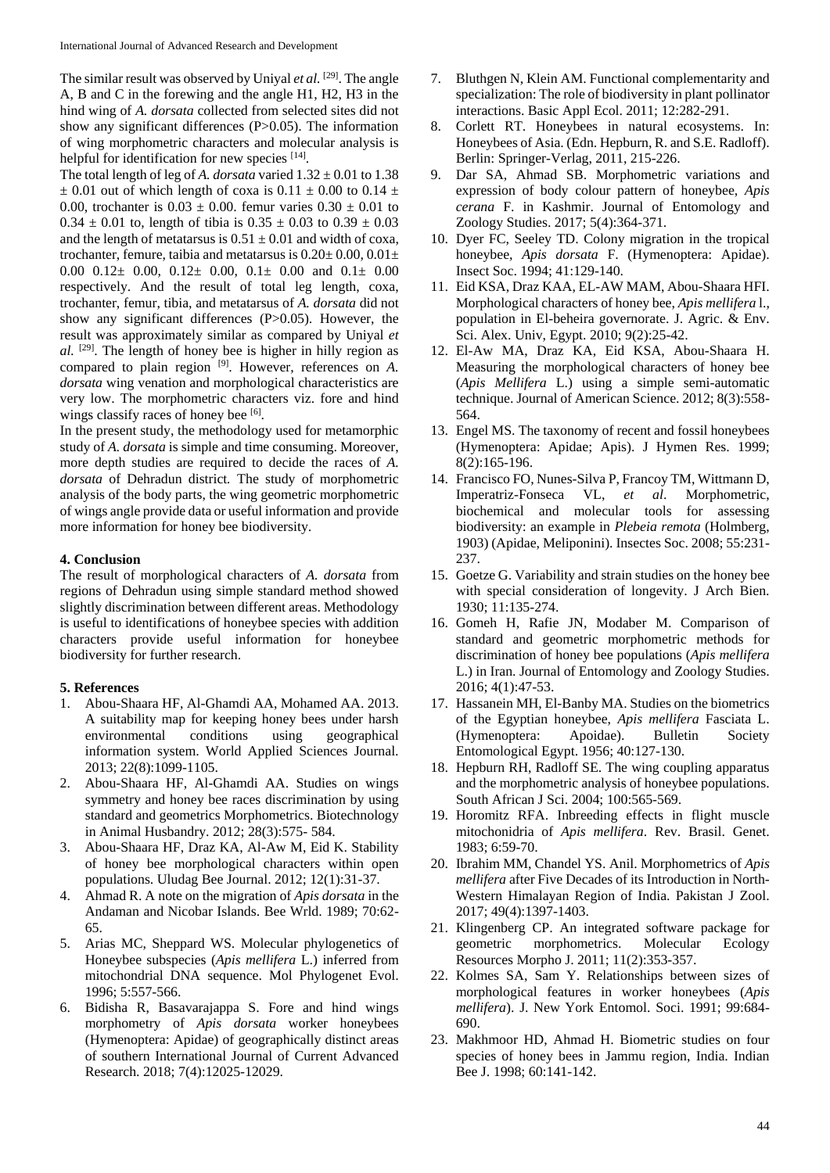The similar result was observed by Uniyal *et al.* [29]. The angle A, B and C in the forewing and the angle H1, H2, H3 in the hind wing of *A. dorsata* collected from selected sites did not show any significant differences (P>0.05). The information of wing morphometric characters and molecular analysis is helpful for identification for new species [14].

The total length of leg of *A. dorsata* varied  $1.32 \pm 0.01$  to 1.38  $\pm$  0.01 out of which length of coxa is 0.11  $\pm$  0.00 to 0.14  $\pm$ 0.00, trochanter is  $0.03 \pm 0.00$ . femur varies  $0.30 \pm 0.01$  to  $0.34 \pm 0.01$  to, length of tibia is  $0.35 \pm 0.03$  to  $0.39 \pm 0.03$ and the length of metatarsus is  $0.51 \pm 0.01$  and width of coxa, trochanter, femure, taibia and metatarsus is  $0.20 \pm 0.00$ ,  $0.01 \pm 0.00$ 0.00 0.12± 0.00, 0.12± 0.00, 0.1± 0.00 and 0.1± 0.00 respectively. And the result of total leg length, coxa, trochanter, femur, tibia, and metatarsus of *A. dorsata* did not show any significant differences (P>0.05). However, the result was approximately similar as compared by Uniyal *et*   $al.$  <sup>[29]</sup>. The length of honey bee is higher in hilly region as compared to plain region <sup>[9]</sup>. However, references on *A*. *dorsata* wing venation and morphological characteristics are very low. The morphometric characters viz. fore and hind wings classify races of honey bee [6].

In the present study, the methodology used for metamorphic study of *A. dorsata* is simple and time consuming. Moreover, more depth studies are required to decide the races of *A. dorsata* of Dehradun district*.* The study of morphometric analysis of the body parts, the wing geometric morphometric of wings angle provide data or useful information and provide more information for honey bee biodiversity.

### **4. Conclusion**

The result of morphological characters of *A. dorsata* from regions of Dehradun using simple standard method showed slightly discrimination between different areas. Methodology is useful to identifications of honeybee species with addition characters provide useful information for honeybee biodiversity for further research.

#### **5. References**

- 1. Abou-Shaara HF, Al-Ghamdi AA, Mohamed AA. 2013. A suitability map for keeping honey bees under harsh environmental conditions using geographical information system. World Applied Sciences Journal. 2013; 22(8):1099-1105.
- 2. Abou-Shaara HF, Al-Ghamdi AA. Studies on wings symmetry and honey bee races discrimination by using standard and geometrics Morphometrics. Biotechnology in Animal Husbandry. 2012; 28(3):575- 584.
- 3. Abou-Shaara HF, Draz KA, Al-Aw M, Eid K. Stability of honey bee morphological characters within open populations. Uludag Bee Journal. 2012; 12(1):31-37.
- 4. Ahmad R. A note on the migration of *Apis dorsata* in the Andaman and Nicobar Islands. Bee Wrld. 1989; 70:62- 65.
- 5. Arias MC, Sheppard WS. Molecular phylogenetics of Honeybee subspecies (*Apis mellifera* L.) inferred from mitochondrial DNA sequence. Mol Phylogenet Evol. 1996; 5:557-566.
- 6. Bidisha R, Basavarajappa S. Fore and hind wings morphometry of *Apis dorsata* worker honeybees (Hymenoptera: Apidae) of geographically distinct areas of southern International Journal of Current Advanced Research. 2018; 7(4):12025-12029.
- 7. Bluthgen N, Klein AM. Functional complementarity and specialization: The role of biodiversity in plant pollinator interactions. Basic Appl Ecol. 2011; 12:282-291.
- 8. Corlett RT. Honeybees in natural ecosystems. In: Honeybees of Asia. (Edn. Hepburn, R. and S.E. Radloff). Berlin: Springer-Verlag, 2011, 215-226.
- 9. Dar SA, Ahmad SB. Morphometric variations and expression of body colour pattern of honeybee, *Apis cerana* F. in Kashmir. Journal of Entomology and Zoology Studies. 2017; 5(4):364-371.
- 10. Dyer FC, Seeley TD. Colony migration in the tropical honeybee, *Apis dorsata* F. (Hymenoptera: Apidae). Insect Soc. 1994; 41:129-140.
- 11. Eid KSA, Draz KAA, EL-AW MAM, Abou-Shaara HFI. Morphological characters of honey bee, *Apis mellifera* l., population in El-beheira governorate. J. Agric. & Env. Sci. Alex. Univ, Egypt. 2010; 9(2):25-42.
- 12. El-Aw MA, Draz KA, Eid KSA, Abou-Shaara H. Measuring the morphological characters of honey bee (*Apis Mellifera* L.) using a simple semi-automatic technique. Journal of American Science. 2012; 8(3):558- 564.
- 13. Engel MS. The taxonomy of recent and fossil honeybees (Hymenoptera: Apidae; Apis). J Hymen Res. 1999; 8(2):165-196.
- 14. Francisco FO, Nunes-Silva P, Francoy TM, Wittmann D, Imperatriz-Fonseca VL, *et al*. Morphometric, biochemical and molecular tools for assessing biodiversity: an example in *Plebeia remota* (Holmberg, 1903) (Apidae, Meliponini). Insectes Soc. 2008; 55:231- 237.
- 15. Goetze G. Variability and strain studies on the honey bee with special consideration of longevity. J Arch Bien. 1930; 11:135-274.
- 16. Gomeh H, Rafie JN, Modaber M. Comparison of standard and geometric morphometric methods for discrimination of honey bee populations (*Apis mellifera*  L.) in Iran. Journal of Entomology and Zoology Studies. 2016; 4(1):47-53.
- 17. Hassanein MH, El-Banby MA. Studies on the biometrics of the Egyptian honeybee, *Apis mellifera* Fasciata L. (Hymenoptera: Apoidae). Bulletin Society Entomological Egypt. 1956; 40:127-130.
- 18. Hepburn RH, Radloff SE. The wing coupling apparatus and the morphometric analysis of honeybee populations. South African J Sci. 2004; 100:565-569.
- 19. Horomitz RFA. Inbreeding effects in flight muscle mitochonidria of *Apis mellifera*. Rev. Brasil. Genet. 1983; 6:59-70.
- 20. Ibrahim MM, Chandel YS. Anil. Morphometrics of *Apis mellifera* after Five Decades of its Introduction in North-Western Himalayan Region of India. Pakistan J Zool. 2017; 49(4):1397-1403.
- 21. Klingenberg CP. An integrated software package for geometric morphometrics. Molecular Ecology Resources Morpho J. 2011; 11(2):353-357.
- 22. Kolmes SA, Sam Y. Relationships between sizes of morphological features in worker honeybees (*Apis mellifera*). J. New York Entomol. Soci. 1991; 99:684- 690.
- 23. Makhmoor HD, Ahmad H. Biometric studies on four species of honey bees in Jammu region, India. Indian Bee J. 1998; 60:141-142.